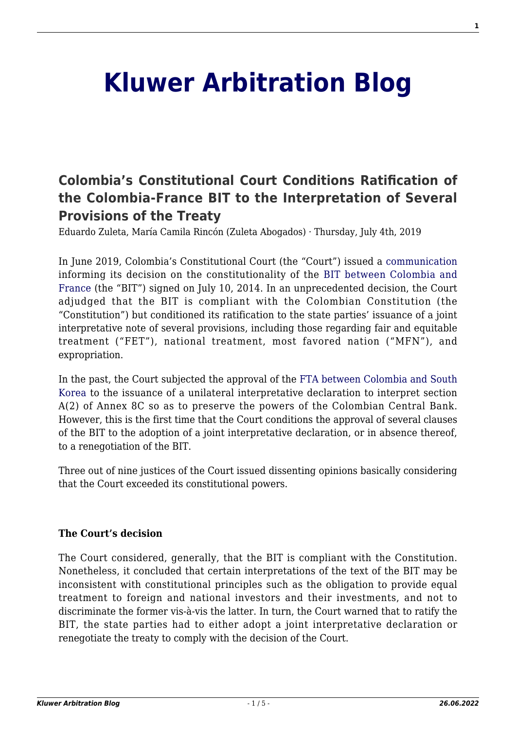# **[Kluwer Arbitration Blog](http://arbitrationblog.kluwerarbitration.com/)**

# **[Colombia's Constitutional Court Conditions Ratification of](http://arbitrationblog.kluwerarbitration.com/2019/07/04/colombias-constitutional-court-conditions-ratification-of-the-colombia-france-bit-to-the-interpretation-of-several-provisions-of-the-treaty/) [the Colombia-France BIT to the Interpretation of Several](http://arbitrationblog.kluwerarbitration.com/2019/07/04/colombias-constitutional-court-conditions-ratification-of-the-colombia-france-bit-to-the-interpretation-of-several-provisions-of-the-treaty/) [Provisions of the Treaty](http://arbitrationblog.kluwerarbitration.com/2019/07/04/colombias-constitutional-court-conditions-ratification-of-the-colombia-france-bit-to-the-interpretation-of-several-provisions-of-the-treaty/)**

Eduardo Zuleta, María Camila Rincón (Zuleta Abogados) · Thursday, July 4th, 2019

In June 2019, Colombia's Constitutional Court (the "Court") issued a [communication](http://www.corteconstitucional.gov.co/comunicados/No.%2019%20comunicado%2005%20y%2006%20de%20junio%20de%202019.pdf) informing its decision on the constitutionality of the [BIT between Colombia and](http://www.tlc.gov.co/TLC/media/media-TLC/Documentos/francia_1.pdf) [France](http://www.tlc.gov.co/TLC/media/media-TLC/Documentos/francia_1.pdf) (the "BIT") signed on July 10, 2014. In an unprecedented decision, the Court adjudged that the BIT is compliant with the Colombian Constitution (the "Constitution") but conditioned its ratification to the state parties' issuance of a joint interpretative note of several provisions, including those regarding fair and equitable treatment ("FET"), national treatment, most favored nation ("MFN"), and expropriation.

In the past, the Court subjected the approval of the [FTA between Colombia and South](http://www.corteconstitucional.gov.co/relatoria/2016/C-184-16.htm) [Korea](http://www.corteconstitucional.gov.co/relatoria/2016/C-184-16.htm) to the issuance of a unilateral interpretative declaration to interpret section A(2) of Annex 8C so as to preserve the powers of the Colombian Central Bank. However, this is the first time that the Court conditions the approval of several clauses of the BIT to the adoption of a joint interpretative declaration, or in absence thereof, to a renegotiation of the BIT.

Three out of nine justices of the Court issued dissenting opinions basically considering that the Court exceeded its constitutional powers.

# **The Court's decision**

The Court considered, generally, that the BIT is compliant with the Constitution. Nonetheless, it concluded that certain interpretations of the text of the BIT may be inconsistent with constitutional principles such as the obligation to provide equal treatment to foreign and national investors and their investments, and not to discriminate the former vis-à-vis the latter. In turn, the Court warned that to ratify the BIT, the state parties had to either adopt a joint interpretative declaration or renegotiate the treaty to comply with the decision of the Court.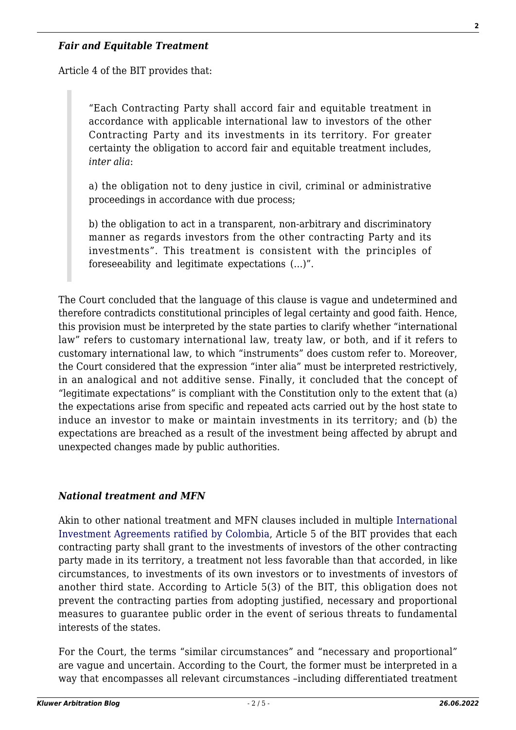#### *Fair and Equitable Treatment*

Article 4 of the BIT provides that:

"Each Contracting Party shall accord fair and equitable treatment in accordance with applicable international law to investors of the other Contracting Party and its investments in its territory. For greater certainty the obligation to accord fair and equitable treatment includes, *inter alia*:

a) the obligation not to deny justice in civil, criminal or administrative proceedings in accordance with due process;

b) the obligation to act in a transparent, non-arbitrary and discriminatory manner as regards investors from the other contracting Party and its investments". This treatment is consistent with the principles of foreseeability and legitimate expectations (…)".

The Court concluded that the language of this clause is vague and undetermined and therefore contradicts constitutional principles of legal certainty and good faith. Hence, this provision must be interpreted by the state parties to clarify whether "international law" refers to customary international law, treaty law, or both, and if it refers to customary international law, to which "instruments" does custom refer to. Moreover, the Court considered that the expression "inter alia" must be interpreted restrictively, in an analogical and not additive sense. Finally, it concluded that the concept of "legitimate expectations" is compliant with the Constitution only to the extent that (a) the expectations arise from specific and repeated acts carried out by the host state to induce an investor to make or maintain investments in its territory; and (b) the expectations are breached as a result of the investment being affected by abrupt and unexpected changes made by public authorities.

#### *National treatment and MFN*

Akin to other national treatment and MFN clauses included in multiple [International](http://www.tlc.gov.co/acuerdos/a-internacional-de-inversion) [Investment Agreements ratified by Colombia](http://www.tlc.gov.co/acuerdos/a-internacional-de-inversion), Article 5 of the BIT provides that each contracting party shall grant to the investments of investors of the other contracting party made in its territory, a treatment not less favorable than that accorded, in like circumstances, to investments of its own investors or to investments of investors of another third state. According to Article 5(3) of the BIT, this obligation does not prevent the contracting parties from adopting justified, necessary and proportional measures to guarantee public order in the event of serious threats to fundamental interests of the states.

For the Court, the terms "similar circumstances" and "necessary and proportional" are vague and uncertain. According to the Court, the former must be interpreted in a way that encompasses all relevant circumstances –including differentiated treatment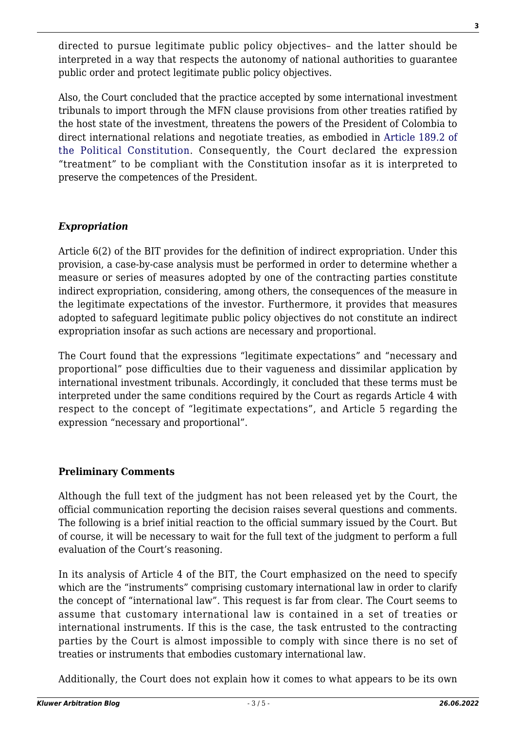directed to pursue legitimate public policy objectives– and the latter should be interpreted in a way that respects the autonomy of national authorities to guarantee public order and protect legitimate public policy objectives.

Also, the Court concluded that the practice accepted by some international investment tribunals to import through the MFN clause provisions from other treaties ratified by the host state of the investment, threatens the powers of the President of Colombia to direct international relations and negotiate treaties, as embodied in [Article 189.2 of](http://www.secretariasenado.gov.co/senado/basedoc/constitucion_politica_1991_pr006.html#189) [the Political Constitution](http://www.secretariasenado.gov.co/senado/basedoc/constitucion_politica_1991_pr006.html#189). Consequently, the Court declared the expression "treatment" to be compliant with the Constitution insofar as it is interpreted to preserve the competences of the President.

# *Expropriation*

Article 6(2) of the BIT provides for the definition of indirect expropriation. Under this provision, a case-by-case analysis must be performed in order to determine whether a measure or series of measures adopted by one of the contracting parties constitute indirect expropriation, considering, among others, the consequences of the measure in the legitimate expectations of the investor. Furthermore, it provides that measures adopted to safeguard legitimate public policy objectives do not constitute an indirect expropriation insofar as such actions are necessary and proportional.

The Court found that the expressions "legitimate expectations" and "necessary and proportional" pose difficulties due to their vagueness and dissimilar application by international investment tribunals. Accordingly, it concluded that these terms must be interpreted under the same conditions required by the Court as regards Article 4 with respect to the concept of "legitimate expectations", and Article 5 regarding the expression "necessary and proportional".

# **Preliminary Comments**

Although the full text of the judgment has not been released yet by the Court, the official communication reporting the decision raises several questions and comments. The following is a brief initial reaction to the official summary issued by the Court. But of course, it will be necessary to wait for the full text of the judgment to perform a full evaluation of the Court's reasoning.

In its analysis of Article 4 of the BIT, the Court emphasized on the need to specify which are the "instruments" comprising customary international law in order to clarify the concept of "international law". This request is far from clear. The Court seems to assume that customary international law is contained in a set of treaties or international instruments. If this is the case, the task entrusted to the contracting parties by the Court is almost impossible to comply with since there is no set of treaties or instruments that embodies customary international law.

Additionally, the Court does not explain how it comes to what appears to be its own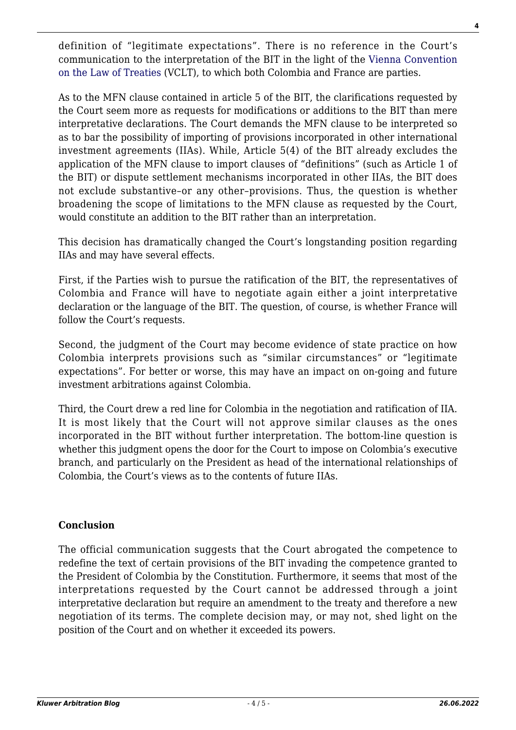definition of "legitimate expectations". There is no reference in the Court's communication to the interpretation of the BIT in the light of the [Vienna Convention](https://treaties.un.org/doc/Publication/UNTS/Volume%201155/volume-1155-I-18232-English.pdf) [on the Law of Treaties](https://treaties.un.org/doc/Publication/UNTS/Volume%201155/volume-1155-I-18232-English.pdf) (VCLT), to which both Colombia and France are parties.

As to the MFN clause contained in article 5 of the BIT, the clarifications requested by the Court seem more as requests for modifications or additions to the BIT than mere interpretative declarations. The Court demands the MFN clause to be interpreted so as to bar the possibility of importing of provisions incorporated in other international investment agreements (IIAs). While, Article 5(4) of the BIT already excludes the application of the MFN clause to import clauses of "definitions" (such as Article 1 of the BIT) or dispute settlement mechanisms incorporated in other IIAs, the BIT does not exclude substantive–or any other–provisions. Thus, the question is whether broadening the scope of limitations to the MFN clause as requested by the Court, would constitute an addition to the BIT rather than an interpretation.

This decision has dramatically changed the Court's longstanding position regarding IIAs and may have several effects.

First, if the Parties wish to pursue the ratification of the BIT, the representatives of Colombia and France will have to negotiate again either a joint interpretative declaration or the language of the BIT. The question, of course, is whether France will follow the Court's requests.

Second, the judgment of the Court may become evidence of state practice on how Colombia interprets provisions such as "similar circumstances" or "legitimate expectations". For better or worse, this may have an impact on on-going and future investment arbitrations against Colombia.

Third, the Court drew a red line for Colombia in the negotiation and ratification of IIA. It is most likely that the Court will not approve similar clauses as the ones incorporated in the BIT without further interpretation. The bottom-line question is whether this judgment opens the door for the Court to impose on Colombia's executive branch, and particularly on the President as head of the international relationships of Colombia, the Court's views as to the contents of future IIAs.

# **Conclusion**

The official communication suggests that the Court abrogated the competence to redefine the text of certain provisions of the BIT invading the competence granted to the President of Colombia by the Constitution. Furthermore, it seems that most of the interpretations requested by the Court cannot be addressed through a joint interpretative declaration but require an amendment to the treaty and therefore a new negotiation of its terms. The complete decision may, or may not, shed light on the position of the Court and on whether it exceeded its powers.